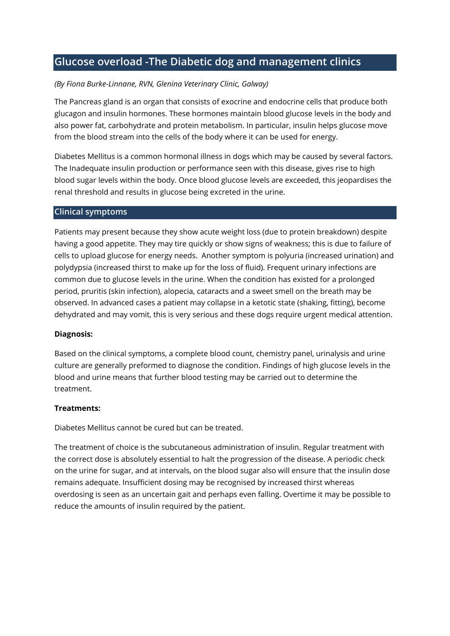# **Glucose overload -The Diabetic dog and management clinics**

### *(By Fiona Burke-Linnane, RVN, Glenina Veterinary Clinic, Galway)*

The Pancreas gland is an organ that consists of exocrine and endocrine cells that produce both glucagon and insulin hormones. These hormones maintain blood glucose levels in the body and also power fat, carbohydrate and protein metabolism. In particular, insulin helps glucose move from the blood stream into the cells of the body where it can be used for energy.

Diabetes Mellitus is a common hormonal illness in dogs which may be caused by several factors. The Inadequate insulin production or performance seen with this disease, gives rise to high blood sugar levels within the body. Once blood glucose levels are exceeded, this jeopardises the renal threshold and results in glucose being excreted in the urine.

#### **Clinical symptoms**

Patients may present because they show acute weight loss (due to protein breakdown) despite having a good appetite. They may tire quickly or show signs of weakness; this is due to failure of cells to upload glucose for energy needs. Another symptom is polyuria (increased urination) and polydypsia (increased thirst to make up for the loss of fluid). Frequent urinary infections are common due to glucose levels in the urine. When the condition has existed for a prolonged period, pruritis (skin infection), alopecia, cataracts and a sweet smell on the breath may be observed. In advanced cases a patient may collapse in a ketotic state (shaking, fitting), become dehydrated and may vomit, this is very serious and these dogs require urgent medical attention.

#### **Diagnosis:**

Based on the clinical symptoms, a complete blood count, chemistry panel, urinalysis and urine culture are generally preformed to diagnose the condition. Findings of high glucose levels in the blood and urine means that further blood testing may be carried out to determine the treatment.

#### **Treatments:**

Diabetes Mellitus cannot be cured but can be treated.

The treatment of choice is the subcutaneous administration of insulin. Regular treatment with the correct dose is absolutely essential to halt the progression of the disease. A periodic check on the urine for sugar, and at intervals, on the blood sugar also will ensure that the insulin dose remains adequate. Insufficient dosing may be recognised by increased thirst whereas overdosing is seen as an uncertain gait and perhaps even falling. Overtime it may be possible to reduce the amounts of insulin required by the patient.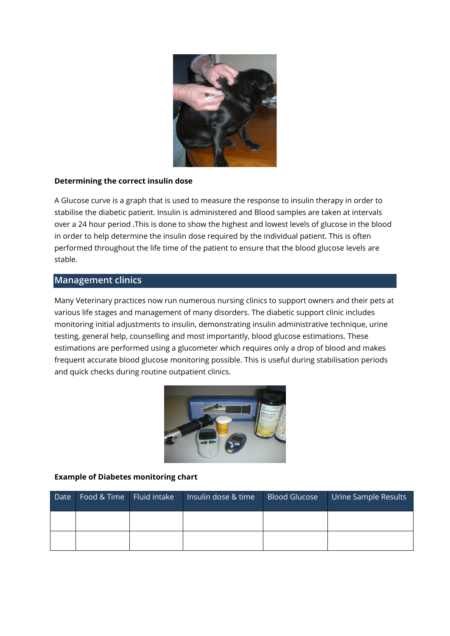

#### **Determining the correct insulin dose**

A Glucose curve is a graph that is used to measure the response to insulin therapy in order to stabilise the diabetic patient. Insulin is administered and Blood samples are taken at intervals over a 24 hour period .This is done to show the highest and lowest levels of glucose in the blood in order to help determine the insulin dose required by the individual patient. This is often performed throughout the life time of the patient to ensure that the blood glucose levels are stable.

## **Management clinics**

Many Veterinary practices now run numerous nursing clinics to support owners and their pets at various life stages and management of many disorders. The diabetic support clinic includes monitoring initial adjustments to insulin, demonstrating insulin administrative technique, urine testing, general help, counselling and most importantly, blood glucose estimations. These estimations are performed using a glucometer which requires only a drop of blood and makes frequent accurate blood glucose monitoring possible. This is useful during stabilisation periods and quick checks during routine outpatient clinics.



#### **Example of Diabetes monitoring chart**

| Date | Food & Time   Fluid intake | Insulin dose & time | <b>Blood Glucose</b> | Urine Sample Results |
|------|----------------------------|---------------------|----------------------|----------------------|
|      |                            |                     |                      |                      |
|      |                            |                     |                      |                      |